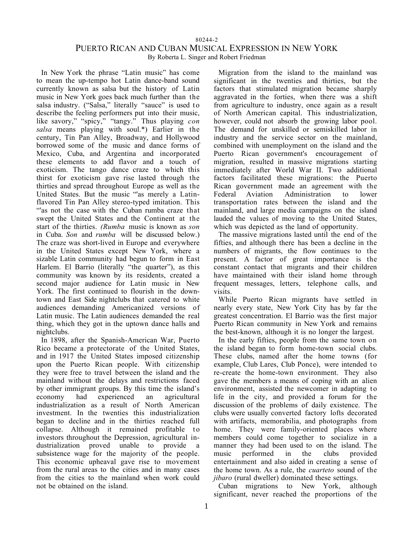80244-2

# PUERTO RICAN AND CUBAN MUSICAL EXPRESSION IN NEW YORK

By Roberta L. Singer and Robert Friedman

In New York the phrase "Latin music" has come to mean the up-tempo hot Latin dance-band sound currently known as salsa but the history of Latin music in New York goes back much further than the salsa industry. ("Salsa," literally "sauce" is used to describe the feeling performers put into their music, like savory," "spicy," "tangy." Thus playing *con salsa* means playing with soul.\*) Earlier in the century, Tin Pan Alley, Broadway, and Hollywood borrowed some of the music and dance forms of Mexico, Cuba, and Argentina and incorporated these elements to add flavor and a touch of exoticism. The tango dance craze to which this thirst for exoticism gave rise lasted through the thirties and spread throughout Europe as well as the United States. But the music "'as merely a Latinflavored Tin Pan Alley stereo-typed imitation. This "'as not the case with the Cuban rumba craze that swept the United States and the Continent at the start of the thirties. *(Rumba* music is known as *son* in Cuba. *Son* and *rumba* will be discussed below.) The craze was short-lived in Europe and everywhere in the United States except New York, where a sizable Latin community had begun to form in East Harlem. El Barrio (literally "the quarter"), as this community was known by its residents, created a second major audience for Latin music in New York. The first continued to flourish in the downtown and East Side nightclubs that catered to white audiences demanding Americanized versions of Latin music. The Latin audiences demanded the real thing, which they got in the uptown dance halls and nightclubs.

In 1898, after the Spanish-American War, Puerto Rico became a protectorate of the United States, and in 1917 the United States imposed citizenship upon the Puerto Rican people. With citizenship they were free to travel between the island and the mainland without the delays and restrictions faced by other immigrant groups. By this time the island's economy had experienced an agricultural industrialization as a result of North American investment. In the twenties this industrialization began to decline and in the thirties reached full collapse. Although it remained profitable to investors throughout the Depression, agricultural industrialization proved unable to provide a subsistence wage for the majority of the people. This economic upheaval gave rise to movement from the rural areas to the cities and in many cases from the cities to the mainland when work could not be obtained on the island.

Migration from the island to the mainland was significant in the twenties and thirties, but the factors that stimulated migration became sharply aggravated in the forties, when there was a shift from agriculture to industry, once again as a result of North American capital. This industrialization, however, could not absorb the growing labor pool. The demand for unskilled or semiskilled labor in industry and the service sector on the mainland, combined with unemployment on the island and the Puerto Rican government's encouragement of migration, resulted in massive migrations starting immediately after World War II. Two additional factors facilitated these migrations: the Puerto Rican government made an agreement with the Federal Aviation Administration to lower transportation rates between the island and the mainland, and large media campaigns on the island lauded the values of moving to the United States, which was depicted as the land of opportunity.

The massive migrations lasted until the end of the fifties, and although there has been a decline in the numbers of migrants, the flow continues to the present. A factor of great importance is the constant contact that migrants and their children have maintained with their island home through frequent messages, letters, telephone calls, and visits.

While Puerto Rican migrants have settled in nearly every state, New York City has by far the greatest concentration. El Barrio was the first major Puerto Rican community in New York and remains the best-known, although it is no longer the largest.

In the early fifties, people from the same town on the island began to form home-town social clubs. These clubs, named after the home towns (for example, Club Lares, Club Ponce), were intended to re-create the home-town environment. They also gave the members a means of coping with an alien environment, assisted the newcomer in adapting to life in the city, and provided a forum for the discussion of the problems of daily existence. The clubs were usually converted factory lofts decorated with artifacts, memorabilia, and photographs from home. They were family-oriented places where members could come together to socialize in a manner they had been used to on the island. The music performed in the clubs provided entertainment and also aided in creating a sense of the home town. As a rule, the *cuarteto* sound of the *jibaro* (rural dweller) dominated these settings.

Cuban migrations to New York, although significant, never reached the proportions of the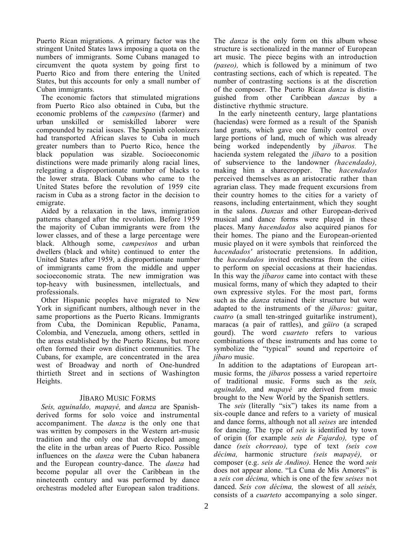Puerto Rican migrations. A primary factor was the stringent United States laws imposing a quota on the numbers of immigrants. Some Cubans managed to circumvent the quota system by going first to Puerto Rico and from there entering the United States, but this accounts for only a small number of Cuban immigrants.

The economic factors that stimulated migrations from Puerto Rico also obtained in Cuba, but the economic problems of the *campesino* (farmer) and urban unskilled or semiskilled laborer were compounded by racial issues. The Spanish colonizers had transported African slaves to Cuba in much greater numbers than to Puerto Rico, hence the black population was sizable. Socioeconomic distinctions were made primarily along racial lines, relegating a disproportionate number of blacks to the lower strata. Black Cubans who came to the United States before the revolution of 1959 cite racism in Cuba as a strong factor in the decision to emigrate.

Aided by a relaxation in the laws, immigration patterns changed after the revolution. Before 1959 the majority of Cuban immigrants were from the lower classes, and of these a large percentage were black. Although some, *campesinos* and urban dwellers (black and white) continued to enter the United States after 1959, a disproportionate number of immigrants came from the middle and upper socioeconomic strata. The new immigration was<br>top-heavy with businessmen. intellectuals. and top-heavy with businessmen, intellectuals, professionals.

Other Hispanic peoples have migrated to New York in significant numbers, although never in the same proportions as the Puerto Ricans. Immigrants from Cuba, the Dominican Republic, Panama, Colombia, and Venezuela, among others, settled in the areas established by the Puerto Ricans, but more often formed their own distinct communities. The Cubans, for example, are concentrated in the area west of Broadway and north of One-hundred thirtieth Street and in sections of Washington Heights.

# JÍBARO MUSIC FORMS

*Seis, aguinaldo, mapayé,* and *danza* are Spanishderived forms for solo voice and instrumental accompaniment. The *danza* is the only one that was written by composers in the Western art-music tradition and the only one that developed among the elite in the urban areas of Puerto Rico. Possible influences on the *danza* were the Cuban habanera and the European country-dance. The *danza* had become popular all over the Caribbean in the nineteenth century and was performed by dance orchestras modeled after European salon traditions.

The *danza* is the only form on this album whose structure is sectionalized in the manner of European art music. The piece begins with an introduction *(paseo),* which is followed by a minimum of two contrasting sections, each of which is repeated. The number of contrasting sections is at the discretion of the composer. The Puerto Rican *danza* is distinguished from other Caribbean *danzas* by a distinctive rhythmic structure.

In the early nineteenth century, large plantations (haciendas) were formed as a result of the Spanish land grants, which gave one family control over large portions of land, much of which was already being worked independently by *jíbaros.* The hacienda system relegated the *jíbaro* to a position of subservience to the landowner *(hacendado),* making him a sharecropper. The *hacendados* perceived themselves as an aristocratic rather than agrarian class. They made frequent excursions from their country homes to the cities for a variety of reasons, including entertainment, which they sought in the salons. *Danzas* and other European-derived musical and dance forms were played in these places. Many *hacendados* also acquired pianos for their homes. The piano and the European-oriented music played on it were symbols that reinforced the *hacendados'* aristocratic pretensions. In addition, the *hacendados* invited orchestras from the cities to perform on special occasions at their haciendas. In this way the *jíbaros* came into contact with these musical forms, many of which they adapted to their own expressive styles. For the most part, forms such as the *danza* retained their structure but were adapted to the instruments of the *jíbaros:* guitar, *cuatro* (a small ten-stringed guitarlike instrument), maracas (a pair of rattles), and *güiro* (a scraped gourd). The word *cuarteto* refers to various combinations of these instruments and has come to symbolize the "typical" sound and repertoire of *jíbaro* music.

In addition to the adaptations of European artmusic forms, the *jíbaros* possess a varied repertoire of traditional music. Forms such as the *seis, aguinaldo,* and *mapayé* are derived from music brought to the New World by the Spanish settlers.

The *seis* (literally "six") takes its name from a six-couple dance and refers to a variety of musical and dance forms, although not all *seises* are intended for dancing. The type of *seis* is identified by town of origin (for example *seis de Fajardo),* type of dance *(seis chorreao),* type of text *(seis con décima,* harmonic structure *(seis mapayé),* or composer (e.g. *seis de Andino).* Hence the word *seis* does not appear alone. "La Cuna de Mis Amores" is a *seis con décima,* which is one of the few *seises* not danced. *Seis con décima,* the slowest of all *seisés,* consists of a *cuarteto* accompanying a solo singer.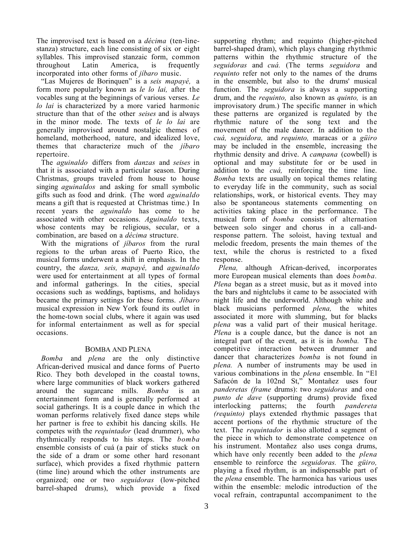The improvised text is based on a *décima* (ten-linestanza) structure, each line consisting of six or eight syllables. This improvised stanzaic form, common throughout Latin America, is frequently throughout incorporated into other forms of *jíbaro* music.

"Las Mujeres de Borinquen" is a *seis mapayé,* a form more popularly known as *le lo lai,* after the vocables sung at the beginnings of various verses. *Le lo lai* is characterized by a more varied harmonic structure than that of the other *seises* and is always in the minor mode. The texts of *le lo lai* are generally improvised around nostalgic themes of homeland, motherhood, nature, and idealized love, themes that characterize much of the *jíbaro* repertoire.

The *aguinaldo* differs from *danzas* and *seises* in that it is associated with a particular season. During Christmas, groups traveled from house to house singing *aguinaldos* and asking for small symbolic gifts such as food and drink. (The word *aguinaldo* means a gift that is requested at Christmas time.) In recent years the *aguinaldo* has come to he associated with other occasions. *Aguinaldo* texts, whose contents may be religious, secular, or a combination, are based on a *décima* structure.

With the migrations of *jíbaros* from the rural regions to the urban areas of Puerto Rico, the musical forms underwent a shift in emphasis. In the country, the *danza, seis, mapayé,* and *aguinaldo* were used for entertainment at all types of formal and informal gatherings. In the cities, special occasions such as weddings, baptisms, and holidays became the primary settings for these forms. *Jíbaro* musical expression in New York found its outlet in the home-town social clubs, where it again was used for informal entertainment as well as for special occasions.

## BOMBA AND PLENA

*Bomba* and *plena* are the only distinctive African-derived musical and dance forms of Puerto Rico. They both developed in the coastal towns, where large communities of black workers gathered around the sugarcane mills. *Bomba* is an entertainment form and is generally performed at social gatherings. It is a couple dance in which the woman performs relatively fixed dance steps while her partner is free to exhibit his dancing skills. He competes with the *requintador* (lead drummer), who rhythmically responds to his steps. The *bomba* ensemble consists of cuá (a pair of sticks stuck on the side of a dram or some other hard resonant surface), which provides a fixed rhythmic pattern (time line) around which the other instruments are organized; one or two *seguidoras* (low-pitched barrel-shaped drums), which provide a fixed

supporting rhythm; and requinto (higher-pitched barrel-shaped dram), which plays changing rhythmic patterns within the rhythmic structure of the *seguidoras* and *cuá.* (The terms *seguidora* and *requinto* refer not only to the names of the drums in the ensemble, but also to the drums' musical function. The *seguidora* is always a supporting drum, and the *requinto,* also known as *quinto,* is an improvisatory drum.) The specific manner in which these patterns are organized is regulated by the rhythmic nature of the song text and the movement of the male dancer. In addition to the *cuá, seguidora,* and *requinto,* maracas or a *güiro* may be included in the ensemble, increasing the rhythmic density and drive. A *campana* (cowbell) is optional and may substitute for or be used in addition to the *cuá,* reinforcing the time line. *Bomba* texts are usually on topical themes relating to everyday life in the community, such as social relationships, work, or historical events. They may also be spontaneous statements commenting on activities taking place in the performance. The musical form of *bomba* consists of alternation between solo singer and chorus in a call-andresponse pattern. The soloist, having textual and melodic freedom, presents the main themes of the text, while the chorus is restricted to a fixed response.

*Plena,* although African-derived, incorporates more European musical elements than does *bomba. Plena* began as a street music, but as it moved into the bars and nightclubs it came to be associated with night life and the underworld. Although white and black musicians performed *plena,* the whites associated it more with slumming, but for blacks *plena* was a valid part of their musical heritage. *Plena* is a couple dance, but the dance is not an integral part of the event, as it is in *bomba.* The competitive interaction between drummer and dancer that characterizes *bomba* is not found in *plena.* A number of instruments may be used in various combinations in the *plena* ensemble. In "El Safacón de la 102nd St," Montañez uses four *panderetas (frame* drums): two *seguidoras* and one *punto de dave* (supporting drums) provide fixed interlocking patterns; the fourth *pandereta (requinto)* plays extended rhythmic passages that accent portions of the rhythmic structure of the text. The *requintador* is also allotted a segment of the piece in which to demonstrate competence on his instrument. Montañez also uses conga drums, which have only recently been added to the *plena* ensemble to reinforce the *seguidoras.* The *güiro,* playing a fixed rhythm, is an indispensable part of the *plena* ensemble. The harmonica has various uses within the ensemble: melodic introduction of the vocal refrain, contrapuntal accompaniment to the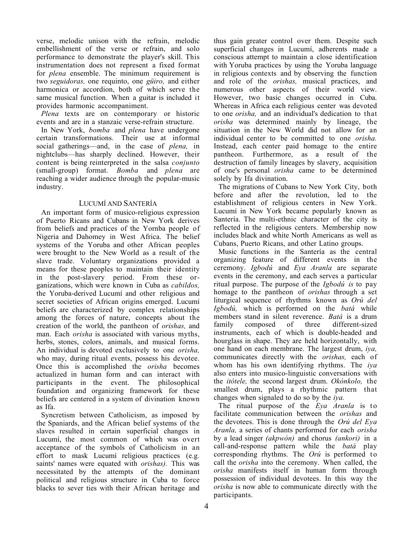verse, melodic unison with the refrain, melodic embellishment of the verse or refrain, and solo performance to demonstrate the player's skill. This instrumentation does not represent a fixed format for *plena* ensemble. The minimum requirement is two *seguidoras,* one requinto, one *güiro,* and either harmonica or accordion, both of which serve the same musical function. When a guitar is included it provides harmonic accompaniment.

*Plena* texts are on contemporary or historic events and are in a stanzaic verse-refrain structure.

In New York, *bomba* and *plena* have undergone certain transformations. Their use at informal social gatherings—and, in the case of *plena,* in nightclubs—has sharply declined. However, their content is being reinterpreted in the salsa *conjunto* (small-group) format. *Bomba* and *plena* are reaching a wider audience through the popular-music industry.

## LUCUMÍ AND SANTERÍA

An important form of musico-religious expression of Puerto Ricans and Cubans in New York derives from beliefs and practices of the Yornba people of Nigeria and Dahomey in West Africa. The belief systems of the Yoruba and other African peoples were brought to the New World as a result of the slave trade. Voluntary organizations provided a means for these peoples to maintain their identity in the post-slavery period. From these organizations, which were known in Cuba as *cabildos,* the Yoruba-derived Lucumí and other religious and secret societies of African origins emerged. Lucumí beliefs are characterized by complex relationships among the forces of nature, concepts about the creation of the world, the pantheon of *orishas,* and man. Each *orisha* is associated with various myths, herbs, stones, colors, animals, and musical forms. An individual is devoted exclusively to one *orisha,* who may, during ritual events, possess his devotee. Once this is accomplished the *orisha* becomes actualized in human form and can interact with participants in the event. The philosophical foundation and organizing framework for these beliefs are centered in a system of divination known as Ifa.

Syncretism between Catholicism, as imposed by the Spaniards, and the African belief systems of the slaves resulted in certain superficial changes in Lucumí, the most common of which was overt acceptance of the symbols of Catholicism in an effort to mask Lucumí religious practices (e.g. saints' names were equated with *orishas).* This was necessitated by the attempts of the dominant political and religious structure in Cuba to force blacks to sever ties with their African heritage and thus gain greater control over them. Despite such superficial changes in Lucumí, adherents made a conscious attempt to maintain a close identification with Yoruba practices by using the Yoruba language in religious contexts and by observing the function and role of the *orishas,* musical practices, and numerous other aspects of their world view. However, two basic changes occurred in Cuba. Whereas in Africa each religious center was devoted to one *orisha,* and an individual's dedication to that *orisha* was determined mainly by lineage, the situation in the New World did not allow for an individual center to be committed to one *orisha.* Instead, each center paid homage to the entire pantheon. Furthermore, as a result of the destruction of family lineages by slavery, acquisition of one's personal *orisha* came to be determined solely by Ifa divination.

The migrations of Cubans to New York City, both before and after the revolution, led to the establishment of religious centers in New York. Lucumí in New York became popularly known as Santería. The multi-ethnic character of the city is reflected in the religious centers. Membership now includes black and white North Americans as well as Cubans, Puerto Ricans, and other Latino groups.

Music functions in the Santería as the central organizing feature of different events in the ceremony. *Igbodú* and *Eya Aranla* are separate events in the ceremony, and each serves a particular ritual purpose. The purpose of the *Igbodú is* to pay homage to the pantheon of *orishas* through a set liturgical sequence of rhythms known as *Orú del Igbodú,* which is performed on the *batá* while members stand in silent reverence. *Batá* is a drum<br>family composed of three different-sized family composed of three different-sized instruments, each of which is double-headed and hourglass in shape. They are held horizontally, with one hand on each membrane. The largest drum, *iya,* communicates directly with the *orishas,* each of whom has his own identifying rhythms. The *iya* also enters into musico-linguistic conversations with the *itótele,* the second largest drum. *Okónkolo,* the smallest drum, plays a rhythmic pattern that changes when signaled to do so by the *iya.*

The ritual purpose of the *Eya Aranla* is to facilitate communication between the *orishas* and the devotees. This is done through the *Orú del Eya Aranla,* a series of chants performed for each *orisha* by a lead singer *(akpwón)* and chorus *(ankori)* in a call-and-response pattern while the *batá* play corresponding rhythms. The *Orú* is performed to call the *orisha* into the ceremony. When called, the *orisha* manifests itself in human form through possession of individual devotees. In this way the *orisha* is now able to communicate directly with the participants.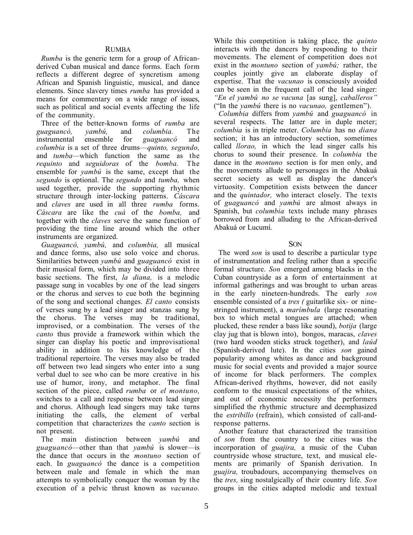### RUMBA

*Rumba* is the generic term for a group of Africanderived Cuban musical and dance forms. Each form reflects a different degree of syncretism among African and Spanish linguistic, musical, and dance elements. Since slavery times *rumba* has provided a means for commentary on a wide range of issues, such as political and social events affecting the life of the community.

Three of the better-known forms of *rumba* are *guaguancó, yambú,* and *columbia.* The instrumental ensemble for *guaguancó* and *columbia* is a set of three drums—*quinto, segundo,* and *tumba—*which function the same as the *requinto* and *seguidoras* of the *bomba.* The ensemble for *yambú* is the same, except that the *segundo* is optional. The *segundo* and *tumba,* when used together, provide the supporting rhythmic structure through inter-locking patterns. *Cáscara* and *claves* are used in all three *rumba* forms. *Cáscara* are like the *cuá* of the *bomba,* and together with the *claves* serve the same function of providing the time line around which the other instruments are organized.

*Guaguancó, yambú,* and *columbia,* all musical and dance forms, also use solo voice and chorus. Similarities between *yambú* and *guaguancó* exist in their musical form, which may be divided into three basic sections. The first, *la diana,* is a melodic passage sung in vocables by one of the lead singers or the chorus and serves to cue both the beginning of the song and sectional changes. *El canto* consists of verses sung by a lead singer and stanzas sung by the chorus. The verses may be traditional, improvised, or a combination. The verses of the *canto* thus provide a framework within which the singer can display his poetic and improvisational ability in addition to his knowledge of the traditional repertoire. The verses may also be traded off between two lead singers who enter into a sung verbal duel to see who can be more creative in his use of humor, irony, and metaphor. The final section of the piece, called *rumba* or *el montuno,* switches to a call and response between lead singer and chorus. Although lead singers may take turns initiating the calls, the element of verbal competition that characterizes the *canto* section is not present.

The main distinction between *yambú* and *guaguancó—*other than that *yambú* is slower—is the dance that occurs in the *montuno* section of each. In *guaguancó* the dance is a competition between male and female in which the man attempts to symbolically conquer the woman by the execution of a pelvic thrust known as *vacunao.*

While this competition is taking place, the *quinto* interacts with the dancers by responding to their movements. The element of competition does not exist in the *montuno* section of *yambú;* rather, the couples jointly give an elaborate display of expertise. That the *vacunao* is consciously avoided can be seen in the frequent call of the lead singer: *"En el yambú no se vacuna* [as sung], *caballeros"* ("In the *yambú* there is no *vacunao,* gentlemen").

*Columbia* differs from *yambú* and *guaguancó* in several respects. The latter are in duple meter; *columbia* is in triple meter. *Columbia* has no *diana* section; it has an introductory section, sometimes called *llorao,* in which the lead singer calls his chorus to sound their presence. In *columbia* the dance in the *montuno* section is for men only, and the movements allude to personages in the Abakuá secret society as well as display the dancer's virtuosity. Competition exists between the dancer and the *quintador,* who interact closely. The texts of *guaguancó* and *yambú* are almost always in Spanish, but *columbia* texts include many phrases borrowed from and alluding to the African-derived Abakuá or Lucumí.

SON

The word *son* is used to describe a particular type of instrumentation and feeling rather than a specific formal structure. *Son* emerged among blacks in the Cuban countryside as a form of entertainment at informal gatherings and was brought to urban areas in the early nineteen-hundreds. The early *son* ensemble consisted of a *tres* ( guitarlike six- or ninestringed instrument), a *marímbula* (large resonating box to which metal tongues are attached; when plucked, these render a bass like sound), *botija* (large clay jug that is blown into), bongos, maracas, *claves* (two hard wooden sticks struck together), and *laúd* (Spanish-derived lute). In the cities *son* gained popularity among whites as dance and background music for social events and provided a major source of income for black performers. The complex African-derived rhythms, however, did not easily conform to the musical expectations of the whites, and out of economic necessity the performers simplified the rhythmic structure and deemphasized the *estribillo* (refrain), which consisted of call-andresponse patterns.

Another feature that characterized the transition of *son* from the country to the cities was the incorporation of *guajira,* a music of the Cuban countryside whose structure, text, and musical elements are primarily of Spanish derivation. In *guajira,* troubadours, accompanying themselves on the *tres,* sing nostalgically of their country life. *Son* groups in the cities adapted melodic and textual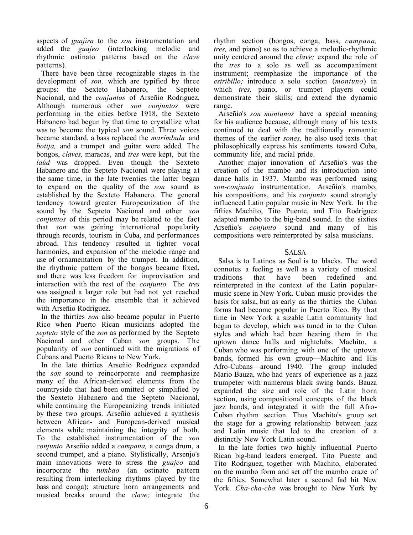aspects of *guajira* to the *son* instrumentation and added the *guajeo* (interlocking melodic and rhythmic ostinato patterns based on the *clave* patterns).

There have been three recognizable stages in the development of *son,* which are typified by three groups: the Sexteto Habanero, the Septeto Nacional, and the *conjuntos* of Arseñio Rodriguez. Although numerous other *son conjuntos* were performing in the cities before 1918, the Sexteto Habanero had begun by that time to crystallize what was to become the typical *son* sound. Three voices became standard, a bass replaced the *marímbula* and *botija,* and a trumpet and guitar were added. The bongos, *claves,* maracas, and *tres* were kept, but the *laúd* was dropped. Even though the Sexteto Habanero and the Septeto Nacional were playing at the same time, in the late twenties the latter began to expand on the quality of the *son* sound as established by the Sexteto Habanero. The general tendency toward greater Europeanization of the sound by the Septeto Nacional and other *son conjuntos* of this period may be related to the fact that *son* was gaining international popularity through records, tourism in Cuba, and performances abroad. This tendency resulted in tighter vocal harmonies, and expansion of the melodic range and use of ornamentation by the trumpet. In addition, the rhythmic pattern of the bongos became fixed, and there was less freedom for improvisation and interaction with the rest of the *conjunto.* The *tres* was assigned a larger role but had not yet reached the importance in the ensemble that it achieved with Arseñio Rodriguez.

In the thirties *son* also became popular in Puerto Rico when Puerto Rican musicians adopted the *septeto* style of the *son* as performed by the Septeto Nacional and other Cuban *son* groups. The popularity of *son* continued with the migrations of Cubans and Puerto Ricans to New York.

In the late thirties Arseñio Rodriguez expanded the *son* sound to reincorporate and reemphasize many of the African-derived elements from the countryside that had been omitted or simplified by the Sexteto Habanero and the Septeto Nacional, while continuing the Europeanizing trends initiated by these two groups. Arseñio achieved a synthesis between African- and European-derived musical elements while maintaining the integrity of both. To the established instrumentation of the *son conjunto* Arseñio added a *campana,* a conga drum, a second trumpet, and a piano. Stylistically, Arsenjo's main innovations were to stress the *guajeo* and incorporate the *tumbao* (an ostinato pattern resulting from interlocking rhythms played by the bass and conga); structure horn arrangements and musical breaks around the *clave;* integrate the

rhythm section (bongos, conga, bass, *campana, tres,* and piano) so as to achieve a melodic-rhythmic unity centered around the *clave;* expand the role of the *tres* to a solo as well as accompaniment instrument; reemphasize the importance of the *estribillo;* introduce a solo section (*montuno*) in which *tres,* piano, or trumpet players could demonstrate their skills; and extend the dynamic range.

Arseñio's *son montunos* have a special meaning for his audience because, although many of his texts continued to deal with the traditionally romantic themes of the earlier *sones,* he also used texts that philosophically express his sentiments toward Cuba, community life, and racial pride.

Another major innovation of Arseñio's was the creation of the mambo and its introduction into dance halls in 1937. Mambo was performed using *son-conjunto* instrumentation. Arseñio's mambo, his compositions, and his *conjunto* sound strongly influenced Latin popular music in New York. In the fifties Machito, Tito Puente, and Tito Rodriguez adapted mambo to the big-band sound. In the sixties Arseñio's *conjunto* sound and many of his compositions were reinterpreted by salsa musicians.

## **SALSA**

Salsa is to Latinos as Soul is to blacks. The word connotes a feeling as well as a variety of musical traditions that have been redefined and reinterpreted in the context of the Latin popularmusic scene in New York. Cuban music provides the basis for salsa, but as early as the thirties the Cuban forms had become popular in Puerto Rico. By that time in New York a sizable Latin community had begun to develop, which was tuned in to the Cuban styles and which had been hearing them in the uptown dance halls and nightclubs. Machito, a Cuban who was performing with one of the uptown bands, formed his own group—Machito and His Afro-Cubans—around 1940. The group included Mario Bauza, who had years of experience as a jazz trumpeter with numerous black swing bands. Bauza expanded the size and role of the Latin horn section, using compositional concepts of the black jazz bands, and integrated it with the full Afro-Cuban rhythm section. Thus Machito's group set the stage for a growing relationship between jazz and Latin music that led to the creation of a distinctly New York Latin sound.

In the late forties two highly influential Puerto Rican big-band leaders emerged. Tito Puente and Tito Rodriguez, together with Machito, elaborated on the mambo form and set off the mambo craze of the fifties. Somewhat later a second fad hit New York. *Cha-cha-cba* was brought to New York by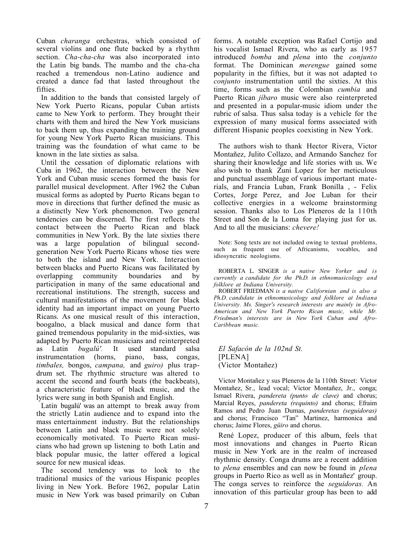Cuban *charanga* orchestras, which consisted of several violins and one flute backed by a rhythm section. *Cha-cha-cha* was also incorporated into the Latin big bands. The mambo and the cha-cha reached a tremendous non-Latino audience and created a dance fad that lasted throughout the fifties.

In addition to the bands that consisted largely of New York Puerto Ricans, popular Cuban artists came to New York to perform. They brought their charts with them and hired the New York musicians to back them up, thus expanding the training ground for young New York Puerto Rican musicians. This training was the foundation of what came to be known in the late sixties as salsa.

Until the cessation of diplomatic relations with Cuba in 1962, the interaction between the New York and Cuban music scenes formed the basis for parallel musical development. After 1962 the Cuban musical forms as adopted by Puerto Ricans began to move in directions that further defined the music as a distinctly New York phenomenon. Two general tendencies can be discerned. The first reflects the contact between the Puerto Rican and black communities in New York. By the late sixties there was a large population of bilingual secondgeneration New York Puerto Ricans whose ties were to both the island and New York. Interaction between blacks and Puerto Ricans was facilitated by overlapping community boundaries and by participation in many of the same educational and recreational institutions. The strength, success and cultural manifestations of the movement for black identity had an important impact on young Puerto Ricans. As one musical result of this interaction, boogalno, a black musical and dance form that gained tremendous popularity in the mid-sixties, was adapted by Puerto Rican musicians and reinterpreted<br>as Latin *bugalú'*. It used standard salsa as Latin *bugalú'*. It used standard salsa instrumentation (horns, piano, bass, congas, instrumentation (horns, *timbales,* bongos, *campana,* and *guiro)* plus trapdrum set. The rhythmic structure was altered to accent the second and fourth beats (the backbeats), a characteristic feature of black music, and the lyrics were sung in both Spanish and English.

Latin bugalú' was an attempt to break away from the strictly Latin audience and to expand into the mass entertainment industry. But the relationships between Latin and black music were not solely economically motivated. To Puerto Rican musicians who had grown up listening to both Latin and black popular music, the latter offered a logical source for new musical ideas.

The second tendency was to look to the traditional musics of the various Hispanic peoples living in New York. Before 1962, popular Latin music in New York was based primarily on Cuban

forms. A notable exception was Rafael Cortijo and his vocalist Ismael Rivera, who as early as 1957 introduced *bomba* and *plena* into the *conjunto* format. The Dominican *merengue* gained some popularity in the fifties, but it was not adapted to *conjunto* instrumentation until the sixties. At this time, forms such as the Colombian *cumbia* and Puerto Rican *jíbaro* music were also reinterpreted and presented in a popular-music idiom under the rubric of salsa. Thus salsa today is a vehicle for the expression of many musical forms associated with different Hispanic peoples coexisting in New York.

The authors wish to thank Hector Rivera, Victor Montañez, Julito Collazo, and Armando Sanchez for sharing their knowledge and life stories with us. We also wish to thank Zuni Lopez for her meticulous and punctual assemblage of various important materials, and Francia Luban, Frank Bonilla , - Felix Cortes, Jorge Perez, and Joe Luban for their collective energies in a welcome brainstorming session. Thanks also to Los Pleneros de la 110th Street and Son de la Loma for playing just for us. And to all the musicians: *chevere!*

Note: Song texts are not included owing to textual problems, such as frequent use of Africanisms, vocables, and idiosyncratic neologisms.

ROBERTA L. SINGER *is a native New Yorker and is currently a candidate for the Ph.D. in ethnomusicology and folklore at Indiana University.*

ROBERT FRIEDMAN *is a native Californian and is also a Ph.D. candidate in ethnomusicology and folklore at Indiana University. Ms. Singer's research interests are mainly in Afro-American and New York Puerto Rican music, while Mr. Friedman's interests are in New York Cuban and Afro-Caribbean music.*

*El Safacón de la 102nd St.* [PLENA] (Victor Montañez)

Victor Montañez y sus Pleneros de la 110th Street: Victor Montañez, Sr., lead vocal; Victor Montañez, Jr., conga; Ismael Rivera, *pandereta (punto de clave)* and chorus; Marcial Reyes, *pandereta (requinto)* and chorus; Efraim Ramos and Pedro Juan Dumas, *panderetas (seguidoras)* and chorus; Francisco "Tan" Martinez, harmonica and chorus; Jaime Flores, *güiro* and chorus.

René Lopez, producer of this album, feels that most innovations and changes in Puerto Rican music in New York are in the realm of increased rhythmic density. Conga drums are a recent addition to *plena* ensembles and can now be found in *plena* groups in Puerto Rico as well as in Montañez' group. The conga serves to reinforce the *seguidoras.* An innovation of this particular group has been to add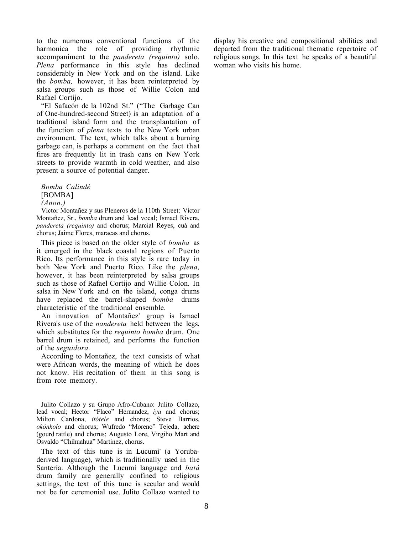to the numerous conventional functions of the harmonica the role of providing rhythmic accompaniment to the *pandereta (requinto)* solo. *Plena* performance in this style has declined considerably in New York and on the island. Like the *bomba,* however, it has been reinterpreted by salsa groups such as those of Willie Colon and Rafael Cortijo.

"El Safacón de la 102nd St." ("The Garbage Can of One-hundred-second Street) is an adaptation of a traditional island form and the transplantation of the function of *plena* texts to the New York urban environment. The text, which talks about a burning garbage can, is perhaps a comment on the fact that fires are frequently lit in trash cans on New York streets to provide warmth in cold weather, and also present a source of potential danger.

*Bomba Calindé* [BOMBA]

*(Anon.)*

Victor Montañez y sus Pleneros de la 110th Street: Victor Montañez, Sr., *bomba* drum and lead vocal; Ismael Rivera, *pandereta (requinto)* and chorus; Marcial Reyes, cuá and chorus; Jaime Flores, maracas and chorus.

This piece is based on the older style of *bomba* as it emerged in the black coastal regions of Puerto Rico. Its performance in this style is rare today in both New York and Puerto Rico. Like the *plena,* however, it has been reinterpreted by salsa groups such as those of Rafael Cortijo and Willie Colon. In salsa in New York and on the island, conga drums have replaced the barrel-shaped *bomba* drums characteristic of the traditional ensemble.

An innovation of Montañez' group is Ismael Rivera's use of the *nandereta* held between the legs, which substitutes for the *requinto bomba* drum. One barrel drum is retained, and performs the function of the *seguidora.*

According to Montañez, the text consists of what were African words, the meaning of which he does not know. His recitation of them in this song is from rote memory.

Julito Collazo y su Grupo Afro-Cubano: Julito Collazo, lead vocal; Hector "Flaco" Hernandez, *iya* and chorus; Milton Cardona, *itótele* and chorus; Steve Barrios, *okónkolo* and chorus; Wufredo "Moreno" Tejeda, achere (gourd rattle) and chorus; Augusto Lore, Virgiho Mart and Osvaldo "Chihuahua" Martinez, chorus.

The text of this tune is in Lucumí' (a Yorubaderived language), which is traditionally used in the Santería. Although the Lucumí language and *batá* drum family are generally confined to religious settings, the text of this tune is secular and would not be for ceremonial use. Julito Collazo wanted to display his creative and compositional abilities and departed from the traditional thematic repertoire of religious songs. In this text he speaks of a beautiful woman who visits his home.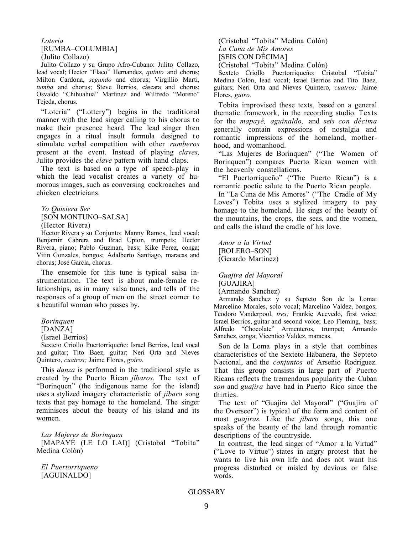#### *Loteria* [RUMBA–COLUMBIA] (Julito Collazo)

Julito Collazo y su Grupo Afro-Cubano: Julito Collazo, lead vocal; Hector "Flaco" Hernandez, *quinto* and chorus; Milton Cardona, *segundo* and chorus; Virgillio Marti, *tumba* and chorus; Steve Berrios, cáscara and chorus; Osvaldo "Chihuahua" Martinez and Wilfredo "Moreno" Tejeda, chorus.

"Loteria" ("Lottery") begins in the traditional manner with the lead singer calling to his chorus to make their presence heard. The lead singer then engages in a ritual insult formula designed to stimulate verbal competition with other *rumberos* present at the event. Instead of playing *claves,* Julito provides the *clave* pattern with hand claps.

The text is based on a type of speech-play in which the lead vocalist creates a variety of humorous images, such as conversing cockroaches and chicken electricians.

*Yo Quisiera Ser* [SON MONTUNO–SALSA] (Hector Rivera)

Hector Rivera y su Conjunto: Manny Ramos, lead vocal; Benjamin Cabrera and Brad Upton, trumpets; Hector Rivera, piano; Pablo Guzman, bass; Kike Perez, conga; Vitin Gonzales, bongos; Adalberto Santiago, maracas and chorus; José Garcia, chorus.

The ensemble for this tune is typical salsa instrumentation. The text is about male-female relationships, as in many salsa tunes, and tells of the responses of a group of men on the street corner to a beautiful woman who passes by.

*Borinquen*

[DANZA]

(Israel Berrios)

Sexteto Criollo Puertorriqueño: Israel Berrios, lead vocal and guitar; Tito Baez, guitar; Neri Orta and Nieves Quintero, *cuatros;* Jaime Flores, *goiro.*

This *danza* is performed in the traditional style as created by the Puerto Rican *jíbaros.* The text of "Borinquen" (the indigenous name for the island) uses a stylized imagery characteristic of *jíbaro* song texts that pay homage to the homeland. The singer reminisces about the beauty of his island and its women.

*Las Mujeres de Borinquen* [MAPAYÉ (LE LO LAI)] (Cristobal "Tobita" Medina Colón)

*El Puertorriqueno* [AGUINALDO]

(Cristobal "Tobita" Medina Colón) *La Cuna de Mis Amores* [SEIS CON DÉCIMA] (Cristobal "Tobita" Medina Colón)

Sexteto Criollo Puertorriqueño: Cristobal "Tobita" Medina Colón, lead vocal; Israel Berrios and Tito Baez, guitars; Neri Orta and Nieves Quintero, *cuatros;* Jaime Flores, *güiro.*

Tobita improvised these texts, based on a general thematic framework, in the recording studio. Texts for the *mapayé, aguinaldo,* and *seis con décima* generally contain expressions of nostalgia and romantic impressions of the homeland, motherhood, and womanhood.

"Las Mujeres de Borinquen" ("The Women of Borinquen") compares Puerto Rican women with the heavenly constellations.

"El Puertorriqueño" ("The Puerto Rican") is a romantic poetic salute to the Puerto Rican people.

In "La Cuna de Mis Amores" ("The Cradle of My Loves") Tobita uses a stylized imagery to pay homage to the homeland. He sings of the beauty of the mountains, the crops, the seas, and the women, and calls the island the cradle of his love.

*Amor a la Virtud* [BOLERO–SON] (Gerardo Martinez)

*Guajira dei Mayoral* [GUAJIRA] (Armando Sanchez)

Armando Sanchez y su Septeto Son de la Loma: Marcelino Morales, solo vocal; Marcelino Valdez, bongos; Teodoro Vanderpool, *tres;* Frankie Acevedo, first voice; Israel Berrios, guitar and second voice; Leo Fleming, bass; Alfredo "Chocolate" Armenteros, trumpet; Armando Sanchez, conga; Vicentico Valdez, maracas.

Son de la Loma plays in a style that combines characteristics of the Sexteto Habanera, the Septeto Nacional, and the *conjuntos* of Arseñio Rodriguez. That this group consists in large part of Puerto Ricans reflects the tremendous popularity the Cuban *son* and *guajira* have had in Puerto Rico since the thirties.

The text of "Guajira del Mayoral" ("Guajira of the Overseer") is typical of the form and content of most *guajiras.* Like the *jíbaro* songs, this one speaks of the beauty of the land through romantic descriptions of the countryside.

In contrast, the lead singer of "Amor a la Virtud" ("Love to Virtue") states in angry protest that he wants to live his own life and does not want his progress disturbed or misled by devious or false words.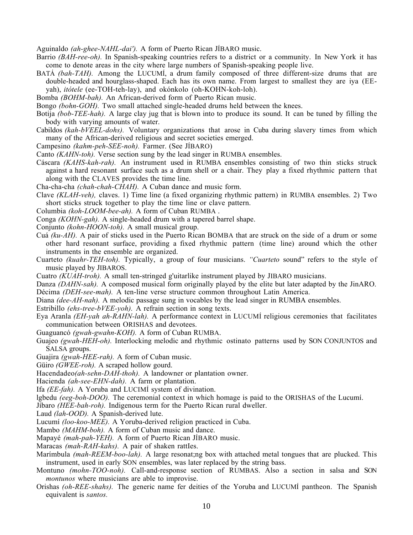Aguinaldo *(ah-ghee-NAHL-dai').* A form of Puerto Rican JÍBARO music.

- Barrio *(BAH-ree-oh).* In Spanish-speaking countries refers to a district or a community. In New York it has come to denote areas in the city where large numbers of Spanish-speaking people live.
- BATÁ *(bah-TAH).* Among the LUCUMÍ, a drum family composed of three different-size drums that are double-headed and hourglass-shaped. Each has its own name. From largest to smallest they are iya (EEyah), *itótele* (ee-TOH-teh-lay), and okónkolo (oh-KOHN-koh-loh).
- Bomba *(BOHM-bah).* An African-derived form of Puerto Rican music.
- Bongo *(bohn-GOH).* Two small attached single-headed drums held between the knees.
- Botija *(bob-TEE-hah).* A large clay jug that is blown into to produce its sound. It can be tuned by filling the body with varying amounts of water.
- Cabildos *(kah-bVEEL-dohs).* Voluntary organizations that arose in Cuba during slavery times from which many of the African-derived religious and secret societies emerged.
- Campesino *(kahm-peh-SEE-noh).* Farmer. (See JÍBARO)
- Canto *(KAHN-toh).* Verse section sung by the lead singer in RUMBA ensembles.
- Cáscara *(KAHS-kah-rah).* An instrument used in RUMBA ensembles consisting of two thin sticks struck against a hard resonant surface such as a drum shell or a chair. They play a fixed rhythmic pattern that along with the CLAVES provides the time line.
- Cha-cha-cha *(chah-chah-CHAH).* A Cuban dance and music form.
- Clave *(KLAH-veh),* claves. 1) Time line (a fixed organizing rhythmic pattern) in RUMBA ensembles. 2) Two short sticks struck together to play the time line or clave pattern.
- Columbia *(koh-LOOM-bee-ah).* A form of Cuban RUMBA .
- Conga *(KOHN-gah).* A single-headed drum with a tapered barrel shape.
- Conjunto *(kohn-HOON-toh).* A small musical group.
- Cuá *(ku-AH).* A pair of sticks used in the Puerto Rican BOMBA that are struck on the side of a drum or some other hard resonant surface, providing a fixed rhythmic pattern (time line) around which the other instruments in the ensemble are organized.
- Cuarteto *(kuahr-TEH-toh).* Typically, a group of four musicians. *"Cuarteto* sound" refers to the style of music played by JIBAROS.
- Cuatro *(KUAH-troh).* A small ten-stringed g'uitarlike instrument played by JIBARO musicians.
- Danza *(DAHN-sah).* A composed musical form originally played by the elite but later adapted by the JinARO. Décima *(DEH-see-mah).* A ten-line verse structure common throughout Latin America.
- Diana *(dee-AH-nah).* A melodic passage sung in vocables by the lead singer in RUMBA ensembles.
- Estribillo *(ehs-tree-bVEE-yoh).* A refrain section in song texts.
- Eya Aranla *(EH-yah ah-RAHN-lah).* A performance context in LUCUMÍ religious ceremonies that facilitates communication between ORISHAS and devotees.
- Guaguancó *(gwah-gwahn-KOH).* A form of Cuban RUMBA.
- Guajeo *(gwah-HEH-oh).* Interlocking melodic and rhythmic ostinato patterns used by SON CONJUNTOS and SALSA groups.
- Guajira *(gwah-HEE-rah).* A form of Cuban music.
- Güiro *(GWEE-roh).* A scraped hollow gourd.
- Hacendadeo*(ah-sehn-DAH-thoh).* A landowner or plantation owner.
- Hacienda *(ah-see-EHN-dah).* A farm or plantation.
- Ifa *(EE-fah).* A Yoruba and LUCIMÍ system of divination.
- lgbedu *(eeg-boh-DOO).* The ceremonial context in which homage is paid to the ORISHAS of the Lucumí.
- Jíbaro *(HEE-bah-roh).* Indigenous term for the Puerto Rican rural dweller.
- Laud *(lah-OOD).* A Spanish-derived lute.
- Lucumí *(loo-koo-MEE).* A Yoruba-derived religion practiced in Cuba.
- Mambo *(MAHM-boh).* A form of Cuban music and dance.
- Mapayé *(mah-pah-YEH).* A form of Puerto Rican JÍBARO music.
- Maracas *(mah-RAH-kahs).* A pair of shaken rattIes.
- Marímbula *(mah-REEM-boo-lah).* A large resonat;ng box with attached metal tongues that are plucked. This instrument, used in early SON ensembles, was later replaced by the string bass.
- Montuno *(mohn-TOO-noh).* Call-and-response section of RUMBAS. Also a section in salsa and SON *montunos* where musicians are able to improvise.
- Orishas *(oh-REE-shahs).* The generic name fer deities of the Yoruba and LUCUMÍ pantheon. The Spanish equivalent is *santos.*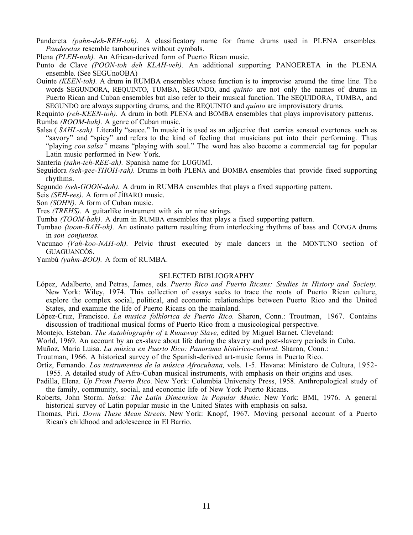- Pandereta *(pahn-deh-REH-tah).* A classificatory name for frame drums used in PLENA ensembles. *Panderetas* resemble tambourines without cymbals.
- Plena *(PLEH-nah).* An African-derived form of Puerto Rican music.
- Punto de Clave *(POON-toh deh KLAH-veh).* An additional supporting PANOERETA in the PLENA ensemble. (See SEGUnoOBA)
- Ouinte *(KEEN-toh).* A drum in RUMBA ensembles whose function is to improvise around the time line. The words SEGUNDORA, REQUINTO, TUMBA, SEGUNDO, and *quinto* are not only the names of drums in Puerto Rican and Cuban ensembles but also refer to their musical function. The SEQUIDORA, TUMBA, and SEGUNDO are always supporting drums, and the REQUINTO and *quinto* are improvisatory drums.

Requinto *(reh-KEEN-toh).* A drum in both PLENA and BOMBA ensembles that plays improvisatory patterns. Rumba *(ROOM-bah).* A genre of Cuban music.

- Salsa ( *SAHL-sah).* Literally "sauce." In music it is used as an adjective that carries sensual overtones such as "savory" and "spicy" and refers to the kind of feeling that musicians put into their performing. Thus "playing *con salsa"* means "playing with soul." The word has also become a commercial tag for popular Latin music performed in New York.
- Santería *(sahn-teh-REE-ah).* Spanish name for LUGUMÍ.
- Seguidora *(seh-gee-THOH-rah).* Drums in both PLENA and BOMBA ensembles that provide fixed supporting rhythms.

Segundo *(seh-GOON-doh).* A drum in RUMBA ensembles that plays a fixed supporting pattern.

- Seis *(SEH-ees).* A form of JÍBARO music.
- Son *(SOHN).* A form of Cuban music.
- Tres *(TREHS).* A guitarlike instrument with six or nine strings.
- Tumba *(TOOM-bah).* A drum in RUMBA ensembles that plays a fixed supporting pattern.
- Tumbao *(toom-BAH-oh).* An ostinato pattern resulting from interlocking rhythms of bass and CONGA drums in *son conjuntos.*
- Vacunao *(Vah-koo-NAH-oh).* Pelvic thrust executed by male dancers in the MONTUNO section of GUAGUANCÓS.
- Yambú *(yahm-BOO).* A form of RUMBA.

#### SELECTED BIBLIOGRAPHY

- López, Adalberto, and Petras, James, eds. *Puerto Rico and Puerto Ricans: Studies in History and Society.* New York: Wiley, 1974. This collection of essays seeks to trace the roots of Puerto Rican culture, explore the complex social, political, and economic relationships between Puerto Rico and the United States, and examine the life of Puerto Ricans on the mainland.
- López-Cruz, Francisco. *La musica folklorica de Puerto Rico.* Sharon, Conn.: Troutman, 1967. Contains discussion of traditional musical forms of Puerto Rico from a musicological perspective.
- Montejo, Esteban. *The Autobiography of* a *Runaway Slave,* edited by Miguel Barnet. Cleveland:
- World, 1969. An account by an ex-slave about life during the slavery and post-slavery periods in Cuba.

Muñoz, Maria Luisa. *La música en Puerto Rico: Panorama histórico-cultural.* Sharon, Conn.:

Troutman, 1966. A historical survey of the Spanish-derived art-music forms in Puerto Rico.

- Ortiz, Fernando. *Los instrumentos de la música Afrocubana,* vols. 1-5. Havana: Ministero de Cultura, 1952- 1955. A detailed study of Afro-Cuban musical instruments, with emphasis on their origins and uses.
- Padilla, Elena. *Up From Puerto Rico.* New York: Columbia University Press, 1958. Anthropological study of the family, community, social, and economic life of New York Puerto Ricans.
- Roberts, John Storm. *Salsa: The Latin Dimension in Popular Music.* New York: BMI, 1976. A general historical survey of Latin popular music in the United States with emphasis on salsa.
- Thomas, Piri. *Down These Mean Streets.* New York: Knopf, 1967. Moving personal account of a Puerto Rican's childhood and adolescence in El Barrio.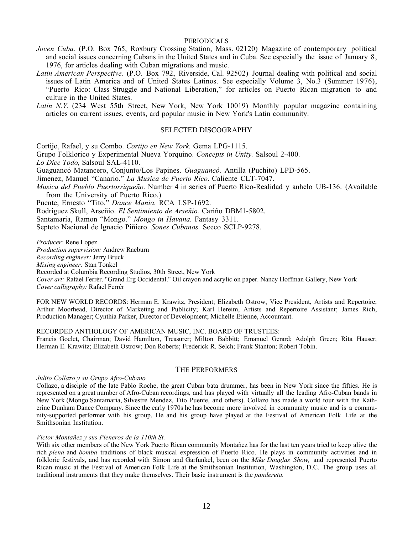#### **PERIODICALS**

- *Joven Cuba.* (P.O. Box 765, Roxbury Crossing Station, Mass. 02120) Magazine of contemporary political and social issues concerning Cubans in the United States and in Cuba. See especially the issue of January 8, 1976, for articles dealing with Cuban migrations and music.
- *Latin American Perspective.* (P.O. Box 792, Riverside, Cal. 92502) Journal dealing with political and social issues of Latin America and of United States Latinos. See especially Volume 3, No.3 (Summer 1976), "Puerto Rico: Class Struggle and National Liberation," for articles on Puerto Rican migration to and culture in the United States.
- Latin N.Y. (234 West 55th Street, New York, New York 10019) Monthly popular magazine containing articles on current issues, events, ard popular music in New York's Latin community.

#### SELECTED DISCOGRAPHY

Cortijo, Rafael, y su Combo. *Cortijo en New York.* Gema LPG-1115.

Grupo Folklorico y Experimental Nueva Yorquino. *Concepts in Unity.* Salsoul 2-400.

*Lo Dice Todo,* Salsoul SAL-4110.

Guaguancó Matancero, Conjunto/Los Papines. *Guaguancó.* Antilla (Puchito) LPD-565.

Jimenez, Manuel "Canario." *La Musica de Puerto Rico.* Caliente CLT-7047.

*Musica deI Pueblo Puertorriqueño.* Number 4 in series of Puerto Rico-Realidad y anhelo UB-136. (Available from the University of Puerto Rico.)

Puente, Ernesto "Tito." *Dance Mania.* RCA LSP-1692.

Rodriguez Skull, Arseñio. *El Sentimiento de Arseñio.* Cariño DBM1-5802.

Santamaria, Ramon "Mongo." *Mongo in Havana.* Fantasy 3311.

Septeto Nacional de lgnacio Piñiero. *Sones Cubanos.* Seeco SCLP-9278.

*Producer:* Rene Lopez

*Production supervision:* Andrew Raeburn

*Recording engineer:* Jerry Bruck

*Mixing engineer:* Stan Tonkel

Recorded at Columbia Recording Studios, 30th Street, New York

*Cover art:* Rafael Ferrér. "Grand Erg Occidental." Oil crayon and acrylic on paper. Nancy Hoffman Gallery, New York *Cover calligraphy:* Rafael Ferrér

FOR NEW WORLD RECORDS: Herman E. Krawitz, President; Elizabeth Ostrow, Vice President, Artists and Repertoire; Arthur Moorhead, Director of Marketing and Publicity; Karl Hereim, Artists and Repertoire Assistant; James Rich, Production Manager; Cynthia Parker, Director of Development; Michelle Etienne, Accountant.

RECORDED ANTHOLOGY OF AMERICAN MUSIC, INC. BOARD OF TRUSTEES:

Francis Goelet, Chairman; David Hamilton, Treasurer; Milton Babbitt; Emanuel Gerard; Adolph Green; Rita Hauser; Herman E. Krawitz; Elizabeth Ostrow; Don Roberts; Frederick R. Selch; Frank Stanton; Robert Tobin.

### THE PERFORMERS

#### *Julito Collazo y su Grupo Afro-Cubano*

Collazo, a disciple of the late Pablo Roche, the great Cuban bata drummer, has been in New York since the fifties. He is represented on a great number of Afro-Cuban recordings, and has played with virtually all the leading Afro-Cuban bands in New York (Mongo Santamaria, Silvestre Mendez, Tito Puente, and others). Collazo has made a world tour with the Katherine Dunham Dance Company. Since the early 1970s he has become more involved in community music and is a community-supported performer with his group. He and his group have played at the Festival of American Folk Life at the Smithsonian Institution.

#### *Victor Montañez y sus Pleneros de la 110th St.*

With six other members of the New York Puerto Rican community Montañez has for the last ten years tried to keep alive the rich *plena* and *bomba* traditions of black musical expression of Puerto Rico. He plays in community activities and in folkloric festivals, and has recorded with Simon and Garfunkel, been on the *Mike Douglas Show,* and represented Puerto Rican music at the Festival of American Folk Life at the Smithsonian Institution, Washington, D.C. The group uses all traditional instruments that they make themselves. Their basic instrument is the *pandereta.*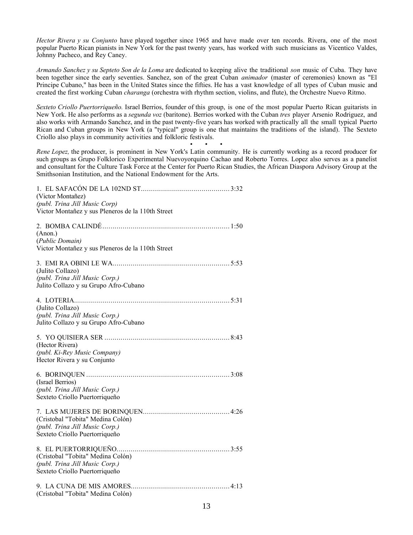*Hector Rivera y su Conjunto* have played together since 1965 and have made over ten records. Rivera, one of the most popular Puerto Rican pianists in New York for the past twenty years, has worked with such musicians as Vicentico Valdes, Johnny Pacheco, and Rey Caney.

*Armando Sanchez y su Septeto Son de la Loma* are dedicated to keeping alive the traditional *son* music of Cuba. They have been together since the early seventies. Sanchez, son of the great Cuban *animador* (master of ceremonies) known as "El Principe Cubano," has been in the United States since the fifties. He has a vast knowledge of all types of Cuban music and created the first working Cuban *charanga* (orchestra with rhythm section, violins, and flute), the Orchestre Nuevo Ritmo.

*Sexteto Criollo Puertorriqueño.* Israel Berrios, founder of this group, is one of the most popular Puerto Rican guitarists in New York. He also performs as a *segunda voz* (baritone). Berrios worked with the Cuban *tres* player Arsenio Rodriguez, and also works with Armando Sanchez, and in the past twenty-five years has worked with practically all the small typical Puerto Rican and Cuban groups in New York (a "typical" group is one that maintains the traditions of the island). The Sexteto Criollo also plays in community activities and folkloric festivals.

• • • *Rene Lopez,* the producer, is prominent in New York's Latin community. He is currently working as a record producer for such groups as Grupo Folklorico Experimental Nuevoyorquino Cachao and Roberto Torres. Lopez also serves as a panelist and consultant for the Culture Task Force at the Center for Puerto Rican Studies, the African Diaspora Advisory Group at the Smithsonian Institution, and the National Endowment for the Arts.

| (Victor Montañez)<br>(publ. Trina Jill Music Corp)<br>Victor Montañez y sus Pleneros de la 110th Street |
|---------------------------------------------------------------------------------------------------------|
| (Anon.)<br>(Public Domain)<br>Victor Montañez y sus Pleneros de la 110th Street                         |
| (Julito Collazo)<br>(publ. Trina Jill Music Corp.)<br>Julito Collazo y su Grupo Afro-Cubano             |
| (Julito Collazo)<br>(publ. Trina Jill Music Corp.)<br>Julito Collazo y su Grupo Afro-Cubano             |
| (Hector Rivera)<br>(publ. Ki-Rey Music Company)<br>Hector Rivera y su Conjunto                          |
| (Israel Berrios)<br>(publ. Trina Jill Music Corp.)<br>Sexteto Criollo Puertorriqueño                    |
| (Cristobal "Tobita" Medina Colón)<br>(publ. Trina Jill Music Corp.)<br>Sexteto Criollo Puertorriqueño   |
| (Cristobal "Tobita" Medina Colón)<br>(publ. Trina Jill Music Corp.)<br>Sexteto Criollo Puertorriqueño   |
| (Cristobal "Tobita" Medina Colón)                                                                       |